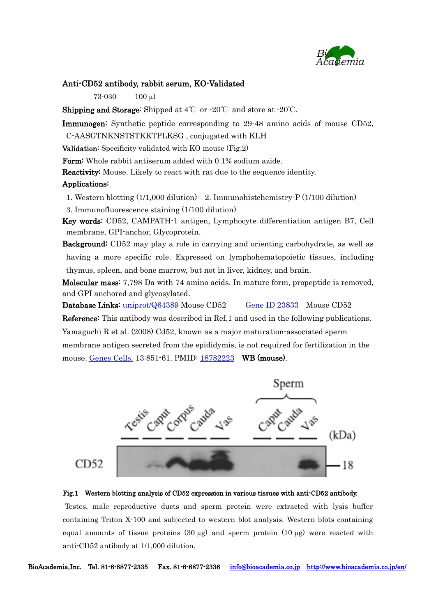

### Anti-CD52 antibody, rabbit serum, KO-Validated

73-030 100 µl

**Shipping and Storage:** Shipped at  $4^{\circ}\text{C}$  or  $\cdot 20^{\circ}\text{C}$  and store at  $\cdot 20^{\circ}\text{C}$ .

Immunogen: Synthetic peptide corresponding to 29-48 amino acids of mouse CD52,

C-AASGTNKNSTSTKKTPLKSG , conjugated with KLH

Validation: Specificity validated with KO mouse (Fig.2)

Form: Whole rabbit antiserum added with 0.1% sodium azide.

Reactivity: Mouse. Likely to react with rat due to the sequence identity.

#### Applications:

1. Western blotting (1/1,000 dilution) 2. Immunohistchemistry-P (1/100 dilution)

3. Immunofluorescence staining (1/100 dilution)

Key words: CD52, CAMPATH-1 antigen, Lymphocyte differentiation antigen B7, [Cell](http://www.uniprot.org/locations/SL-0039)  [membrane,](http://www.uniprot.org/locations/SL-0039) [GPI-anchor,](http://www.uniprot.org/locations/SL-9902) Glycoprotein.

Background: CD52 may play a role in carrying and orienting carbohydrate, as well as having a more specific role. Expressed on lymphohematopoietic tissues, including thymus, spleen, and bone marrow, but not in liver, kidney, and brain.

Molecular mass: 7,798 Da with 74 amino acids. In mature form, propeptide is removed, and GPI anchored and glycosylated.

Database Links: [uniprot/Q64389](http://www.uniprot.org/uniprot/Q64389) Mouse CD52 [Gene ID 23833](http://www.ncbi.nlm.nih.gov/gene/23833) Mouse CD52

Reference: This antibody was described in Ref.1 and used in the following publications. Yamaguchi R et al. (2008) Cd52, known as a major maturation-associated sperm membrane antigen secreted from the epididymis, is not required for fertilization in the mouse. [Genes Cells.](http://www.ncbi.nlm.nih.gov/pubmed/18782223) 13:851-61. PMID: [18782223](https://www.ncbi.nlm.nih.gov/pubmed/18782223) WB (mouse).





Testes, male reproductive ducts and sperm protein were extracted with lysis buffer containing Triton X-100 and subjected to western blot analysis. Western blots containing equal amounts of tissue proteins  $(30 \mu g)$  and sperm protein  $(10 \mu g)$  were reacted with anti-CD52 antibody at 1/1,000 dilution.

BioAcademia,Inc. Tel. 81-6-6877-2335 Fax. 81-6-6877-2336 [info@bioacademia.co.jp](mailto:info@bioacademia.co.jp) <http://www.bioacademia.co.jp/en/>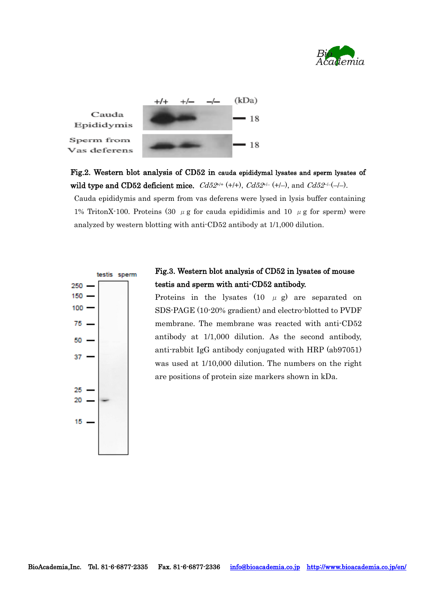



Fig.2. Western blot analysis of CD52 in cauda epididymal lysates and sperm lysates of wild type and CD52 deficient mice.  $Cd52^{i+} (+)+$ ,  $Cd52^{i-} (+)-$ , and  $Cd52^{-i-} (-)-$ .

Cauda epididymis and sperm from vas deferens were lysed in lysis buffer containing 1% TritonX-100. Proteins (30  $\mu$  g for cauda epididimis and 10  $\mu$  g for sperm) were analyzed by western blotting with anti-CD52 antibody at 1/1,000 dilution.



# Fig.3. Western blot analysis of CD52 in lysates of mouse testis and sperm with anti-CD52 antibody.

Proteins in the lysates  $(10 \mu g)$  are separated on SDS-PAGE (10-20% gradient) and electro-blotted to PVDF membrane. The membrane was reacted with anti-CD52 antibody at 1/1,000 dilution. As the second antibody, anti-rabbit IgG antibody conjugated with HRP (ab97051) was used at 1/10,000 dilution. The numbers on the right are positions of protein size markers shown in kDa.